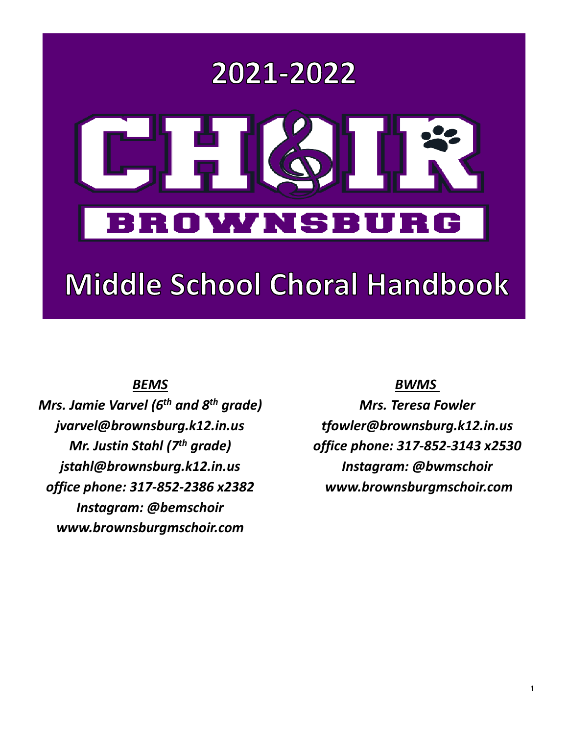

# **Middle School Choral Handbook**

# *BEMS*

*Mrs. Jamie Varvel (6th and 8th grade) jvarvel@brownsburg.k12.in.us Mr. Justin Stahl (7th grade) jstahl@brownsburg.k12.in.us office phone: 317-852-2386 x2382 Instagram: @bemschoir [www.brownsburgmschoir.com](http://www.brownsburgmschoir.com/)*

## *BWMS*

*Mrs. Teresa Fowler [tfowler@brownsburg.k12.in.us](mailto:tfowler@brownsburg.k12.in.us) office phone: 317-852-3143 x2530 Instagram: @bwmschoir [www.brownsburgmschoir.com](http://www.brownsburgmschoir.com/)*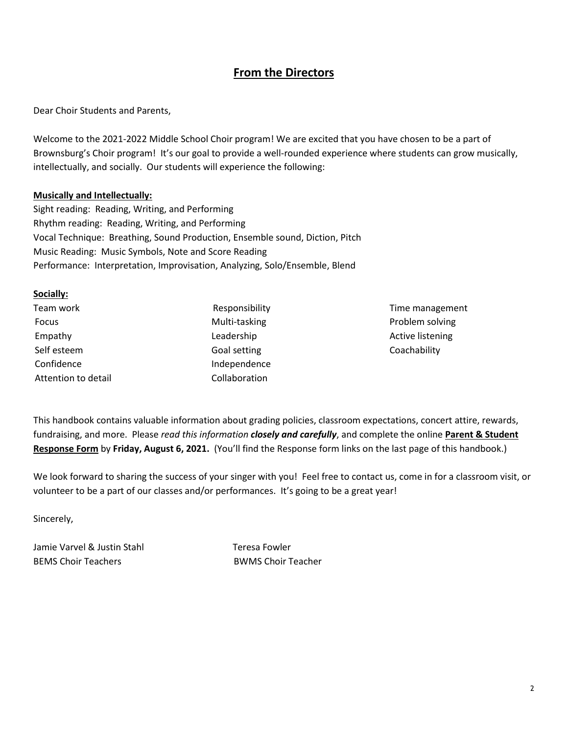## **From the Directors**

Dear Choir Students and Parents,

Welcome to the 2021-2022 Middle School Choir program! We are excited that you have chosen to be a part of Brownsburg's Choir program! It's our goal to provide a well-rounded experience where students can grow musically, intellectually, and socially. Our students will experience the following:

#### **Musically and Intellectually:**

Sight reading: Reading, Writing, and Performing Rhythm reading: Reading, Writing, and Performing Vocal Technique: Breathing, Sound Production, Ensemble sound, Diction, Pitch Music Reading: Music Symbols, Note and Score Reading Performance: Interpretation, Improvisation, Analyzing, Solo/Ensemble, Blend

#### **Socially:**

| Team work           | Responsibility |
|---------------------|----------------|
| Focus               | Multi-tasking  |
| Empathy             | Leadership     |
| Self esteem         | Goal setting   |
| Confidence          | Independence   |
| Attention to detail | Collaboration  |

Time management Problem solving Active listening Coachability

This handbook contains valuable information about grading policies, classroom expectations, concert attire, rewards, fundraising, and more. Please *read this information closely and carefully*, and complete the online **Parent & Student Response Form** by **Friday, August 6, 2021.** (You'll find the Response form links on the last page of this handbook.)

We look forward to sharing the success of your singer with you! Feel free to contact us, come in for a classroom visit, or volunteer to be a part of our classes and/or performances. It's going to be a great year!

Sincerely,

Jamie Varvel & Justin Stahl Teresa Fowler BEMS Choir Teachers **BWMS** Choir Teacher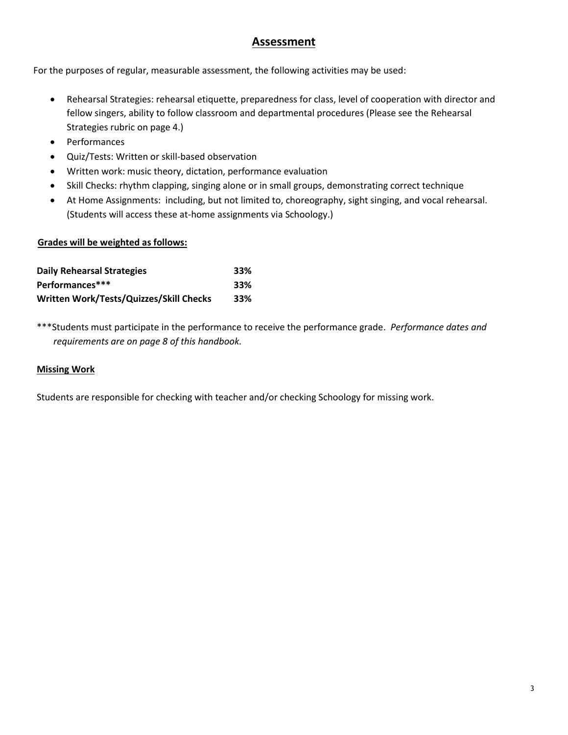### **Assessment**

For the purposes of regular, measurable assessment, the following activities may be used:

- Rehearsal Strategies: rehearsal etiquette, preparedness for class, level of cooperation with director and fellow singers, ability to follow classroom and departmental procedures (Please see the Rehearsal Strategies rubric on page 4.)
- Performances
- Quiz/Tests: Written or skill-based observation
- Written work: music theory, dictation, performance evaluation
- Skill Checks: rhythm clapping, singing alone or in small groups, demonstrating correct technique
- At Home Assignments: including, but not limited to, choreography, sight singing, and vocal rehearsal. (Students will access these at-home assignments via Schoology.)

#### **Grades will be weighted as follows:**

| <b>Daily Rehearsal Strategies</b>       | 33% |
|-----------------------------------------|-----|
| Performances***                         | 33% |
| Written Work/Tests/Quizzes/Skill Checks | 33% |

\*\*\*Students must participate in the performance to receive the performance grade. *Performance dates and requirements are on page 8 of this handbook.*

#### **Missing Work**

Students are responsible for checking with teacher and/or checking Schoology for missing work.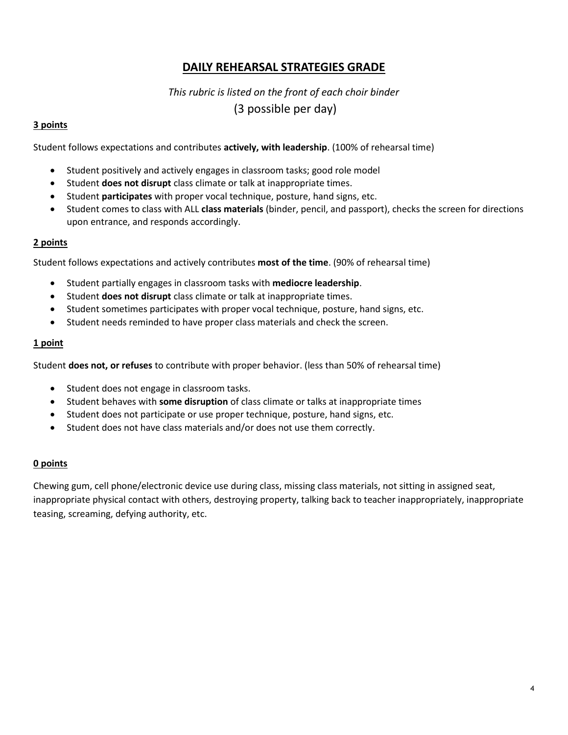## **DAILY REHEARSAL STRATEGIES GRADE**

## *This rubric is listed on the front of each choir binder* (3 possible per day)

#### **3 points**

Student follows expectations and contributes **actively, with leadership**. (100% of rehearsal time)

- Student positively and actively engages in classroom tasks; good role model
- Student **does not disrupt** class climate or talk at inappropriate times.
- Student **participates** with proper vocal technique, posture, hand signs, etc.
- Student comes to class with ALL **class materials** (binder, pencil, and passport), checks the screen for directions upon entrance, and responds accordingly.

#### **2 points**

Student follows expectations and actively contributes **most of the time**. (90% of rehearsal time)

- Student partially engages in classroom tasks with **mediocre leadership**.
- Student **does not disrupt** class climate or talk at inappropriate times.
- Student sometimes participates with proper vocal technique, posture, hand signs, etc.
- Student needs reminded to have proper class materials and check the screen.

#### **1 point**

Student **does not, or refuses** to contribute with proper behavior. (less than 50% of rehearsal time)

- Student does not engage in classroom tasks.
- Student behaves with **some disruption** of class climate or talks at inappropriate times
- Student does not participate or use proper technique, posture, hand signs, etc.
- Student does not have class materials and/or does not use them correctly.

#### **0 points**

Chewing gum, cell phone/electronic device use during class, missing class materials, not sitting in assigned seat, inappropriate physical contact with others, destroying property, talking back to teacher inappropriately, inappropriate teasing, screaming, defying authority, etc.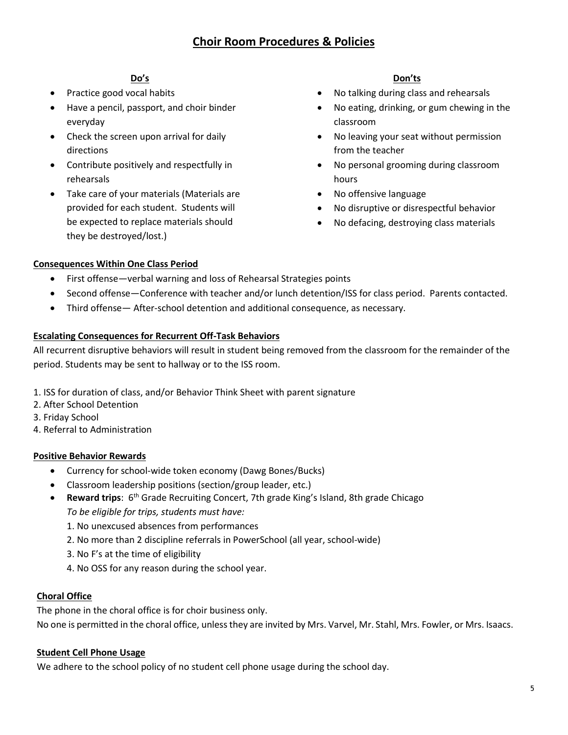#### **Do's**

- Practice good vocal habits
- Have a pencil, passport, and choir binder everyday
- Check the screen upon arrival for daily directions
- Contribute positively and respectfully in rehearsals
- Take care of your materials (Materials are provided for each student. Students will be expected to replace materials should they be destroyed/lost.)

#### **Don'ts**

- No talking during class and rehearsals
- No eating, drinking, or gum chewing in the classroom
- No leaving your seat without permission from the teacher
- No personal grooming during classroom hours
- No offensive language
- No disruptive or disrespectful behavior
- No defacing, destroying class materials

#### **Consequences Within One Class Period**

- First offense—verbal warning and loss of Rehearsal Strategies points
- Second offense—Conference with teacher and/or lunch detention/ISS for class period. Parents contacted.
- Third offense— After-school detention and additional consequence, as necessary.

#### **Escalating Consequences for Recurrent Off-Task Behaviors**

All recurrent disruptive behaviors will result in student being removed from the classroom for the remainder of the period. Students may be sent to hallway or to the ISS room.

- 1. ISS for duration of class, and/or Behavior Think Sheet with parent signature
- 2. After School Detention
- 3. Friday School
- 4. Referral to Administration

#### **Positive Behavior Rewards**

- Currency for school-wide token economy (Dawg Bones/Bucks)
- Classroom leadership positions (section/group leader, etc.)
- **Reward trips**: 6<sup>th</sup> Grade Recruiting Concert, 7th grade King's Island, 8th grade Chicago *To be eligible for trips, students must have:*
	- 1. No unexcused absences from performances
	- 2. No more than 2 discipline referrals in PowerSchool (all year, school-wide)
	- 3. No F's at the time of eligibility
	- 4. No OSS for any reason during the school year.

#### **Choral Office**

The phone in the choral office is for choir business only.

No one is permitted in the choral office, unless they are invited by Mrs. Varvel, Mr. Stahl, Mrs. Fowler, or Mrs. Isaacs.

#### **Student Cell Phone Usage**

We adhere to the school policy of no student cell phone usage during the school day.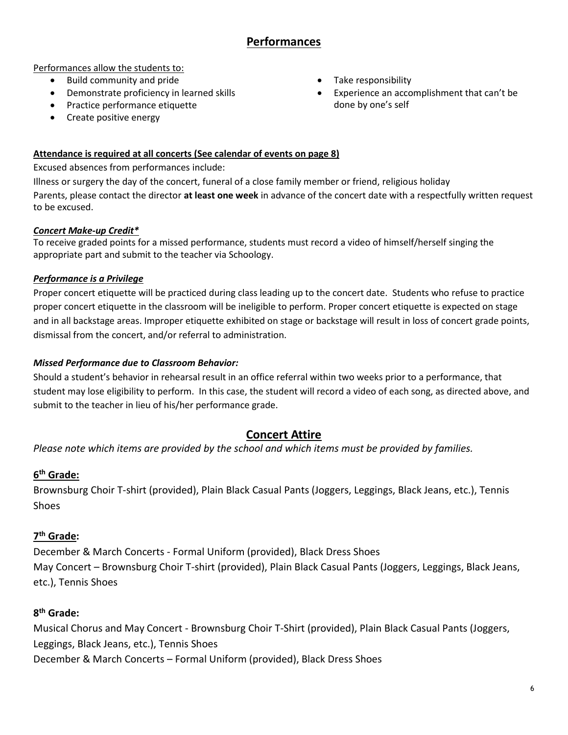## **Performances**

Performances allow the students to:

- Build community and pride
- Demonstrate proficiency in learned skills
- Practice performance etiquette
- Create positive energy
- Take responsibility
- Experience an accomplishment that can't be done by one's self

#### **Attendance is required at all concerts (See calendar of events on page 8)**

Excused absences from performances include:

Illness or surgery the day of the concert, funeral of a close family member or friend, religious holiday Parents, please contact the director **at least one week** in advance of the concert date with a respectfully written request to be excused.

#### *Concert Make-up Credit\**

To receive graded points for a missed performance, students must record a video of himself/herself singing the appropriate part and submit to the teacher via Schoology.

#### *Performance is a Privilege*

Proper concert etiquette will be practiced during class leading up to the concert date. Students who refuse to practice proper concert etiquette in the classroom will be ineligible to perform. Proper concert etiquette is expected on stage and in all backstage areas. Improper etiquette exhibited on stage or backstage will result in loss of concert grade points, dismissal from the concert, and/or referral to administration.

#### *Missed Performance due to Classroom Behavior:*

Should a student's behavior in rehearsal result in an office referral within two weeks prior to a performance, that student may lose eligibility to perform. In this case, the student will record a video of each song, as directed above, and submit to the teacher in lieu of his/her performance grade.

## **Concert Attire**

*Please note which items are provided by the school and which items must be provided by families.*

#### **6 th Grade:**

Brownsburg Choir T-shirt (provided), Plain Black Casual Pants (Joggers, Leggings, Black Jeans, etc.), Tennis Shoes

#### **7 th Grade:**

December & March Concerts - Formal Uniform (provided), Black Dress Shoes May Concert – Brownsburg Choir T-shirt (provided), Plain Black Casual Pants (Joggers, Leggings, Black Jeans, etc.), Tennis Shoes

#### **8 th Grade:**

Musical Chorus and May Concert - Brownsburg Choir T-Shirt (provided), Plain Black Casual Pants (Joggers, Leggings, Black Jeans, etc.), Tennis Shoes December & March Concerts – Formal Uniform (provided), Black Dress Shoes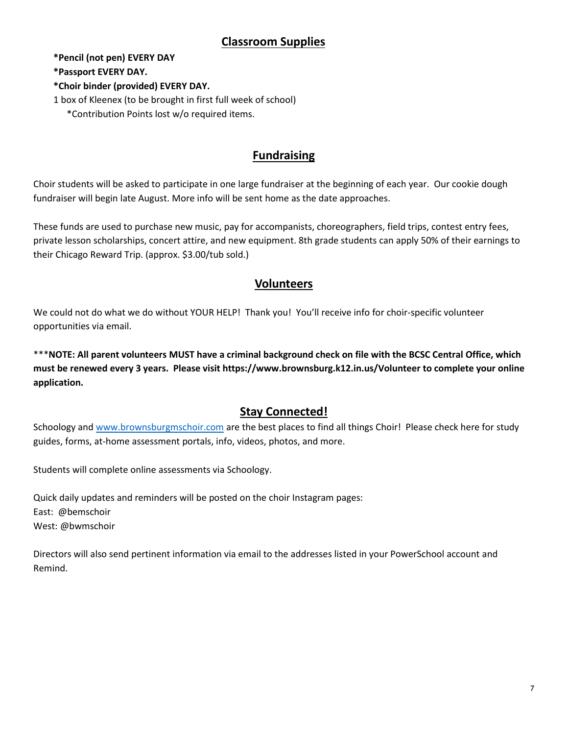## **Classroom Supplies**

**\*Pencil (not pen) EVERY DAY**

**\*Passport EVERY DAY.**

#### **\*Choir binder (provided) EVERY DAY.**

1 box of Kleenex (to be brought in first full week of school)

\*Contribution Points lost w/o required items.

# **Fundraising**

Choir students will be asked to participate in one large fundraiser at the beginning of each year. Our cookie dough fundraiser will begin late August. More info will be sent home as the date approaches.

These funds are used to purchase new music, pay for accompanists, choreographers, field trips, contest entry fees, private lesson scholarships, concert attire, and new equipment. 8th grade students can apply 50% of their earnings to their Chicago Reward Trip. (approx. \$3.00/tub sold.)

## **Volunteers**

We could not do what we do without YOUR HELP! Thank you! You'll receive info for choir-specific volunteer opportunities via email.

\*\*\***NOTE: All parent volunteers MUST have a criminal background check on file with the BCSC Central Office, which must be renewed every 3 years. Please visit https://www.brownsburg.k12.in.us/Volunteer to complete your online application.** 

# **Stay Connected!**

Schoology and [www.brownsburgmschoir.com](http://www.brownsburgmschoir.com/) are the best places to find all things Choir! Please check here for study guides, forms, at-home assessment portals, info, videos, photos, and more.

Students will complete online assessments via Schoology.

Quick daily updates and reminders will be posted on the choir Instagram pages: East: @bemschoir West: @bwmschoir

Directors will also send pertinent information via email to the addresses listed in your PowerSchool account and Remind.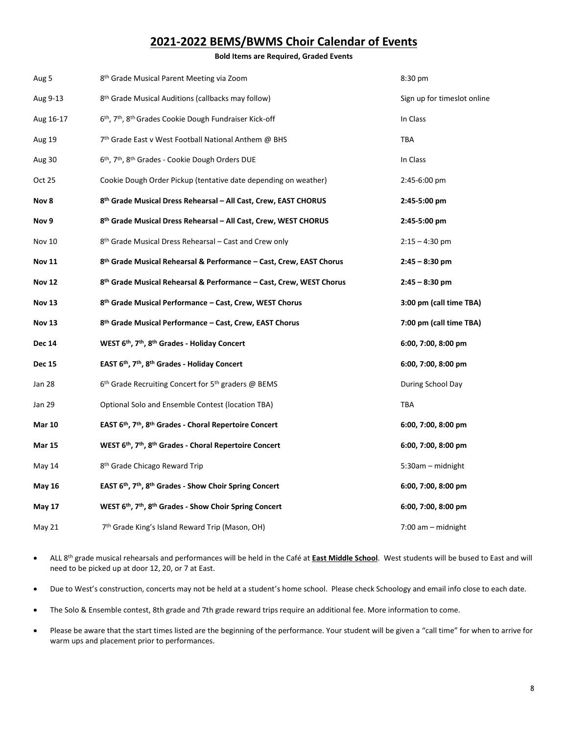## **2021-2022 BEMS/BWMS Choir Calendar of Events**

**Bold Items are Required, Graded Events**

| Aug 5         | 8 <sup>th</sup> Grade Musical Parent Meeting via Zoom                                       | 8:30 pm                     |
|---------------|---------------------------------------------------------------------------------------------|-----------------------------|
| Aug 9-13      | 8th Grade Musical Auditions (callbacks may follow)                                          | Sign up for timeslot online |
| Aug 16-17     | 6 <sup>th</sup> , 7 <sup>th</sup> , 8 <sup>th</sup> Grades Cookie Dough Fundraiser Kick-off | In Class                    |
| Aug 19        | 7 <sup>th</sup> Grade East v West Football National Anthem @ BHS                            | <b>TBA</b>                  |
| Aug 30        | 6th, 7th, 8th Grades - Cookie Dough Orders DUE                                              | In Class                    |
| Oct 25        | Cookie Dough Order Pickup (tentative date depending on weather)                             | 2:45-6:00 pm                |
| Nov 8         | 8th Grade Musical Dress Rehearsal - All Cast, Crew, EAST CHORUS                             | 2:45-5:00 pm                |
| Nov 9         | 8th Grade Musical Dress Rehearsal - All Cast, Crew, WEST CHORUS                             | 2:45-5:00 pm                |
| <b>Nov 10</b> | 8 <sup>th</sup> Grade Musical Dress Rehearsal – Cast and Crew only                          | $2:15 - 4:30$ pm            |
| <b>Nov 11</b> | 8 <sup>th</sup> Grade Musical Rehearsal & Performance – Cast, Crew, EAST Chorus             | $2:45 - 8:30$ pm            |
| <b>Nov 12</b> | 8th Grade Musical Rehearsal & Performance - Cast, Crew, WEST Chorus                         | $2:45 - 8:30$ pm            |
| <b>Nov 13</b> | 8th Grade Musical Performance - Cast, Crew, WEST Chorus                                     | 3:00 pm (call time TBA)     |
| <b>Nov 13</b> | 8 <sup>th</sup> Grade Musical Performance – Cast, Crew, EAST Chorus                         | 7:00 pm (call time TBA)     |
| <b>Dec 14</b> | WEST 6th, 7th, 8th Grades - Holiday Concert                                                 | 6:00, 7:00, 8:00 pm         |
| <b>Dec 15</b> | EAST 6th, 7th, 8th Grades - Holiday Concert                                                 | 6:00, 7:00, 8:00 pm         |
| Jan 28        | 6 <sup>th</sup> Grade Recruiting Concert for 5 <sup>th</sup> graders @ BEMS                 | During School Day           |
| Jan 29        | Optional Solo and Ensemble Contest (location TBA)                                           | TBA                         |
| <b>Mar 10</b> | EAST 6th, 7th, 8th Grades - Choral Repertoire Concert                                       | 6:00, 7:00, 8:00 pm         |
| <b>Mar 15</b> | WEST 6th, 7th, 8th Grades - Choral Repertoire Concert                                       | 6:00, 7:00, 8:00 pm         |
| May 14        | 8 <sup>th</sup> Grade Chicago Reward Trip                                                   | 5:30am - midnight           |
| <b>May 16</b> | EAST 6th, 7th, 8th Grades - Show Choir Spring Concert                                       | 6:00, 7:00, 8:00 pm         |
| <b>May 17</b> | WEST 6th, 7th, 8th Grades - Show Choir Spring Concert                                       | 6:00, 7:00, 8:00 pm         |
| May 21        | 7 <sup>th</sup> Grade King's Island Reward Trip (Mason, OH)                                 | $7:00$ am $-$ midnight      |

- ALL 8th grade musical rehearsals and performances will be held in the Café at **East Middle School**. West students will be bused to East and will need to be picked up at door 12, 20, or 7 at East.
- Due to West's construction, concerts may not be held at a student's home school. Please check Schoology and email info close to each date.
- The Solo & Ensemble contest, 8th grade and 7th grade reward trips require an additional fee. More information to come.
- Please be aware that the start times listed are the beginning of the performance. Your student will be given a "call time" for when to arrive for warm ups and placement prior to performances.